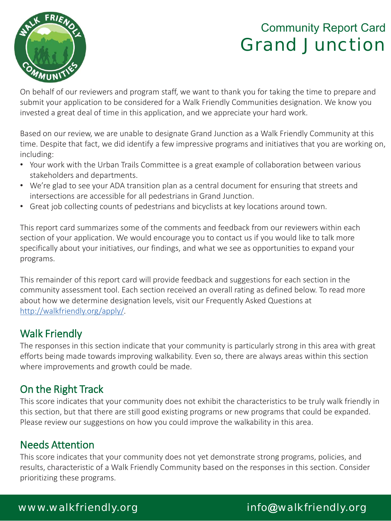

On behalf of our reviewers and program staff, we want to thank you for taking the time to prepare and submit your application to be considered for a Walk Friendly Communities designation. We know you invested a great deal of time in this application, and we appreciate your hard work.

Based on our review, we are unable to designate Grand Junction as a Walk Friendly Community at this time. Despite that fact, we did identify a few impressive programs and initiatives that you are working on, including:

- Your work with the Urban Trails Committee is a great example of collaboration between various stakeholders and departments.
- We're glad to see your ADA transition plan as a central document for ensuring that streets and intersections are accessible for all pedestrians in Grand Junction.
- Great job collecting counts of pedestrians and bicyclists at key locations around town.

This report card summarizes some of the comments and feedback from our reviewers within each section of your application. We would encourage you to contact us if you would like to talk more specifically about your initiatives, our findings, and what we see as opportunities to expand your programs.

This remainder of this report card will provide feedback and suggestions for each section in the community assessment tool. Each section received an overall rating as defined below. To read more about how we determine designation levels, visit our Frequently Asked Questions at http://walkfriendly.org/apply/.

### Walk Friendly

The responses in this section indicate that your community is particularly strong in this area with great efforts being made towards improving walkability. Even so, there are always areas within this section where improvements and growth could be made.

### On the Right Track

This score indicates that your community does not exhibit the characteristics to be truly walk friendly in this section, but that there are still good existing programs or new programs that could be expanded. Please review our suggestions on how you could improve the walkability in this area.

### Needs Attention

This score indicates that your community does not yet demonstrate strong programs, policies, and results, characteristic of a Walk Friendly Community based on the responses in this section. Consider prioritizing these programs.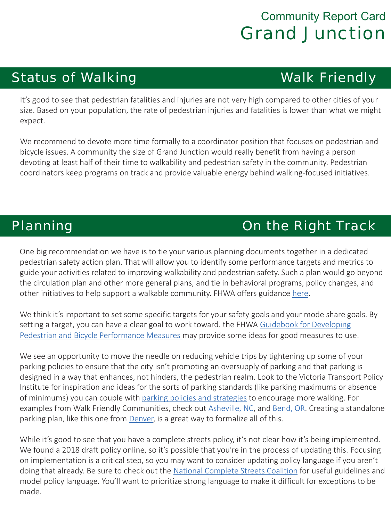## Status of Walking **Walk Friendly**

It's good to see that pedestrian fatalities and injuries are not very high compared to other cities of your size. Based on your population, the rate of pedestrian injuries and fatalities is lower than what we might expect.

We recommend to devote more time formally to a coordinator position that focuses on pedestrian and bicycle issues. A community the size of Grand Junction would really benefit from having a person devoting at least half of their time to walkability and pedestrian safety in the community. Pedestrian coordinators keep programs on track and provide valuable energy behind walking-focused initiatives.

## **Planning Community Communist Communist Planning Communist Communist Communist Communist Communist Communist Communist Communist Communist Communist Communist Communist Communist Communist Communist Communist Communist Com**

One big recommendation we have is to tie your various planning documents together in a dedicated pedestrian safety action plan. That will allow you to identify some performance targets and metrics to guide your activities related to improving walkability and pedestrian safety. Such a plan would go beyond the circulation plan and other more general plans, and tie in behavioral programs, policy changes, and other initiatives to help support a walkable community. FHWA offers guidance here.

We think it's important to set some specific targets for your safety goals and your mode share goals. By setting a target, you can have a clear goal to work toward. the FHWA Guidebook for Developing Pedestrian and Bicycle Performance Measures may provide some ideas for good measures to use.

We see an opportunity to move the needle on reducing vehicle trips by tightening up some of your parking policies to ensure that the city isn't promoting an oversupply of parking and that parking is designed in a way that enhances, not hinders, the pedestrian realm. Look to the Victoria Transport Policy Institute for inspiration and ideas for the sorts of parking standards (like parking maximums or absence of minimums) you can couple with parking policies and strategies to encourage more walking. For examples from Walk Friendly Communities, check out Asheville, NC, and Bend, OR. Creating a standalone parking plan, like this one from Denver, is a great way to formalize all of this.

While it's good to see that you have a complete streets policy, it's not clear how it's being implemented. We found a 2018 draft policy online, so it's possible that you're in the process of updating this. Focusing on implementation is a critical step, so you may want to consider updating policy language if you aren't doing that already. Be sure to check out the National Complete Streets Coalition for useful guidelines and model policy language. You'll want to prioritize strong language to make it difficult for exceptions to be made.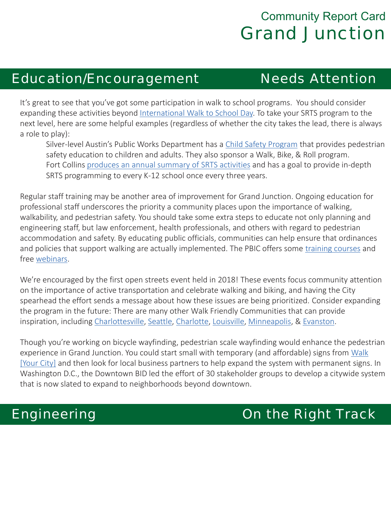### Education/Encouragement Needs Attention

It's great to see that you've got some participation in walk to school programs. You should consider expanding these activities beyond International Walk to School Day. To take your SRTS program to the next level, here are some helpful examples (regardless of whether the city takes the lead, there is always a role to play):

Silver-level Austin's Public Works Department has a Child Safety Program that provides pedestrian safety education to children and adults. They also sponsor a Walk, Bike, & Roll program. Fort Collins produces an annual summary of SRTS activities and has a goal to provide in-depth SRTS programming to every K-12 school once every three years.

Regular staff training may be another area of improvement for Grand Junction. Ongoing education for professional staff underscores the priority a community places upon the importance of walking, walkability, and pedestrian safety. You should take some extra steps to educate not only planning and engineering staff, but law enforcement, health professionals, and others with regard to pedestrian accommodation and safety. By educating public officials, communities can help ensure that ordinances and policies that support walking are actually implemented. The PBIC offers some training courses and free webinars.

We're encouraged by the first open streets event held in 2018! These events focus community attention on the importance of active transportation and celebrate walking and biking, and having the City spearhead the effort sends a message about how these issues are being prioritized. Consider expanding the program in the future: There are many other Walk Friendly Communities that can provide inspiration, including Charlottesville, Seattle, Charlotte, Louisville, Minneapolis, & Evanston.

Though you're working on bicycle wayfinding, pedestrian scale wayfinding would enhance the pedestrian experience in Grand Junction. You could start small with temporary (and affordable) signs from Walk [Your City] and then look for local business partners to help expand the system with permanent signs. In Washington D.C., the Downtown BID led the effort of 30 stakeholder groups to develop a citywide system that is now slated to expand to neighborhoods beyond downtown.

# Engineering On the Right Track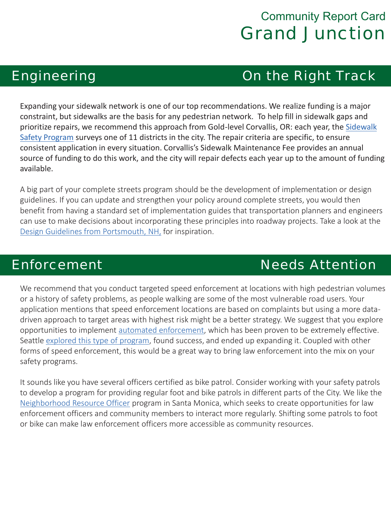### Engineering On the Right Track

Expanding your sidewalk network is one of our top recommendations. We realize funding is a major constraint, but sidewalks are the basis for any pedestrian network. To help fill in sidewalk gaps and prioritize repairs, we recommend this approach from Gold-level Corvallis, OR: each year, the Sidewalk Safety Program surveys one of 11 districts in the city. The repair criteria are specific, to ensure consistent application in every situation. Corvallis's Sidewalk Maintenance Fee provides an annual source of funding to do this work, and the city will repair defects each year up to the amount of funding available.

A big part of your complete streets program should be the development of implementation or design guidelines. If you can update and strengthen your policy around complete streets, you would then benefit from having a standard set of implementation guides that transportation planners and engineers can use to make decisions about incorporating these principles into roadway projects. Take a look at the Design Guidelines from Portsmouth, NH, for inspiration.

## **Enforcement Needs** Attention

We recommend that you conduct targeted speed enforcement at locations with high pedestrian volumes or a history of safety problems, as people walking are some of the most vulnerable road users. Your application mentions that speed enforcement locations are based on complaints but using a more datadriven approach to target areas with highest risk might be a better strategy. We suggest that you explore opportunities to implement automated enforcement, which has been proven to be extremely effective. Seattle explored this type of program, found success, and ended up expanding it. Coupled with other forms of speed enforcement, this would be a great way to bring law enforcement into the mix on your safety programs.

It sounds like you have several officers certified as bike patrol. Consider working with your safety patrols to develop a program for providing regular foot and bike patrols in different parts of the City. We like the Neighborhood Resource Officer program in Santa Monica, which seeks to create opportunities for law enforcement officers and community members to interact more regularly. Shifting some patrols to foot or bike can make law enforcement officers more accessible as community resources.